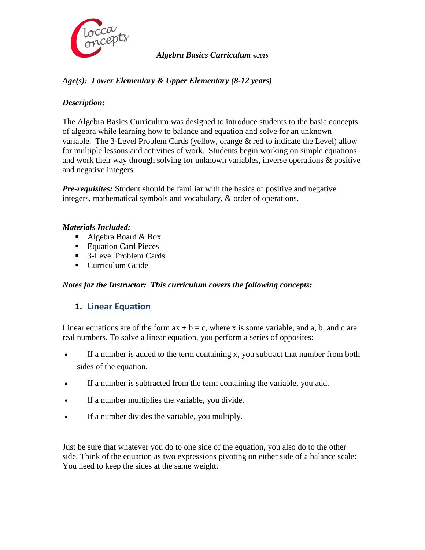

#### *Algebra Basics Curriculum ©2016*

# *Age(s): Lower Elementary & Upper Elementary (8-12 years)*

### *Description:*

The Algebra Basics Curriculum was designed to introduce students to the basic concepts of algebra while learning how to balance and equation and solve for an unknown variable. The 3-Level Problem Cards (yellow, orange & red to indicate the Level) allow for multiple lessons and activities of work. Students begin working on simple equations and work their way through solving for unknown variables, inverse operations & positive and negative integers.

*Pre-requisites:* Student should be familiar with the basics of positive and negative integers, mathematical symbols and vocabulary, & order of operations.

#### *Materials Included:*

- Algebra Board  $& Box$
- Equation Card Pieces
- 3-Level Problem Cards
- **Curriculum Guide**

#### *Notes for the Instructor: This curriculum covers the following concepts:*

# **1. Linear Equation**

Linear equations are of the form  $ax + b = c$ , where x is some variable, and a, b, and c are real numbers. To solve a linear equation, you perform a series of opposites:

- If a number is added to the term containing x, you subtract that number from both sides of the equation.
- If a number is subtracted from the term containing the variable, you add.
- If a number multiplies the variable, you divide.
- If a number divides the variable, you multiply.

Just be sure that whatever you do to one side of the equation, you also do to the other side. Think of the equation as two expressions pivoting on either side of a balance scale: You need to keep the sides at the same weight.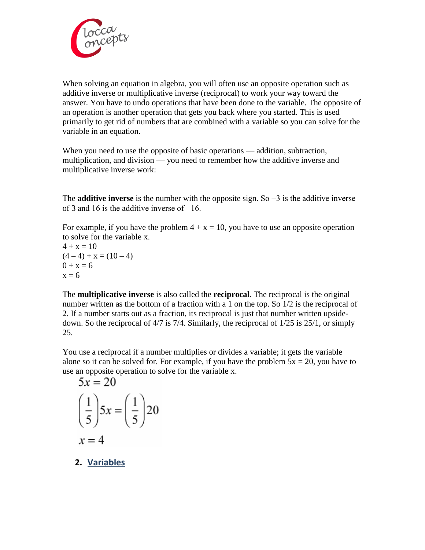

When solving an equation in algebra, you will often use an opposite operation such as additive inverse or multiplicative inverse (reciprocal) to work your way toward the answer. You have to undo operations that have been done to the variable. The opposite of an operation is another operation that gets you back where you started. This is used primarily to get rid of numbers that are combined with a variable so you can solve for the variable in an equation.

When you need to use the opposite of basic operations — addition, subtraction, multiplication, and division — you need to remember how the additive inverse and multiplicative inverse work:

The **additive inverse** is the number with the opposite sign. So −3 is the additive inverse of 3 and 16 is the additive inverse of −16.

For example, if you have the problem  $4 + x = 10$ , you have to use an opposite operation to solve for the variable x.

 $4 + x = 10$  $(4-4) + x = (10-4)$  $0 + x = 6$  $x = 6$ 

The **multiplicative inverse** is also called the **reciprocal**. The reciprocal is the original number written as the bottom of a fraction with a 1 on the top. So 1/2 is the reciprocal of 2. If a number starts out as a fraction, its reciprocal is just that number written upsidedown. So the reciprocal of 4/7 is 7/4. Similarly, the reciprocal of 1/25 is 25/1, or simply 25.

You use a reciprocal if a number multiplies or divides a variable; it gets the variable alone so it can be solved for. For example, if you have the problem  $5x = 20$ , you have to use an opposite operation to solve for the variable x.

$$
5x = 20
$$
  

$$
\left(\frac{1}{5}\right)5x = \left(\frac{1}{5}\right)20
$$
  

$$
x = 4
$$

**2. Variables**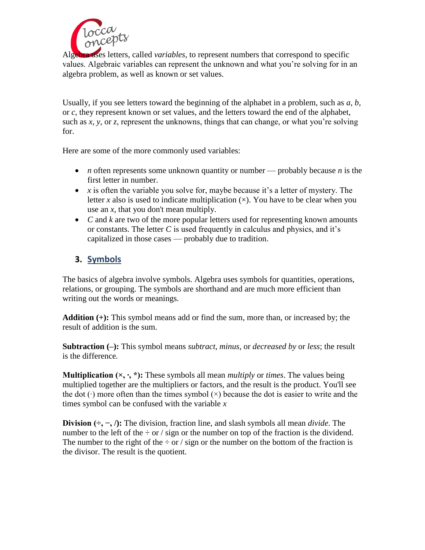

Algebra uses letters, called *variables,* to represent numbers that correspond to specific values. Algebraic variables can represent the unknown and what you're solving for in an algebra problem, as well as known or set values.

Usually, if you see letters toward the beginning of the alphabet in a problem, such as *a*, *b*, or *c*, they represent known or set values, and the letters toward the end of the alphabet, such as *x*, *y*, or *z*, represent the unknowns, things that can change, or what you're solving for.

Here are some of the more commonly used variables:

- *n* often represents some unknown quantity or number probably because *n* is the first letter in number.
- $\bullet$  *x* is often the variable you solve for, maybe because it's a letter of mystery. The letter *x* also is used to indicate multiplication  $(x)$ . You have to be clear when you use an *x,* that you don't mean multiply.
- C and *k* are two of the more popular letters used for representing known amounts or constants. The letter *C* is used frequently in calculus and physics, and it's capitalized in those cases — probably due to tradition.

# **3. Symbols**

The basics of algebra involve symbols. Algebra uses symbols for quantities, operations, relations, or grouping. The symbols are shorthand and are much more efficient than writing out the words or meanings.

**Addition (+):** This symbol means add or find the sum, more than, or increased by; the result of addition is the sum.

**Subtraction (–):** This symbol means *subtract*, *minus*, or *decreased by* or *less*; the result is the difference*.*

**Multiplication (×, ∙, \*):** These symbols all mean *multiply* or *times*. The values being multiplied together are the multipliers or factors, and the result is the product. You'll see the dot (∙) more often than the times symbol (×) because the dot is easier to write and the times symbol can be confused with the variable *x*

**Division (÷, −, /):** The division, fraction line, and slash symbols all mean *divide*. The number to the left of the  $\div$  or / sign or the number on top of the fraction is the dividend. The number to the right of the  $\div$  or / sign or the number on the bottom of the fraction is the divisor. The result is the quotient.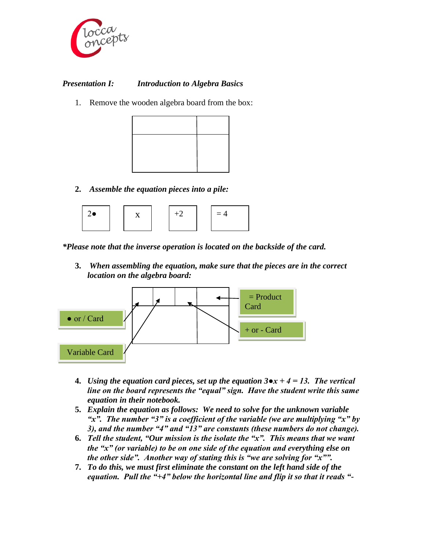

## *Presentation I: Introduction to Algebra Basics*

1. Remove the wooden algebra board from the box:



**2.** *Assemble the equation pieces into a pile:*



*\*Please note that the inverse operation is located on the backside of the card.*

**3.** *When assembling the equation, make sure that the pieces are in the correct location on the algebra board:*



- **4.** *Using the equation card pieces, set up the equation 3●x + 4 = 13. The vertical line on the board represents the "equal" sign. Have the student write this same equation in their notebook.*
- **5.** *Explain the equation as follows: We need to solve for the unknown variable "x". The number "3" is a coefficient of the variable (we are multiplying "x" by 3), and the number "4" and "13" are constants (these numbers do not change).*
- **6.** *Tell the student, "Our mission is the isolate the "x". This means that we want the "x" (or variable) to be on one side of the equation and everything else on the other side". Another way of stating this is "we are solving for "x"".*
- **7.** *To do this, we must first eliminate the constant on the left hand side of the equation. Pull the "+4" below the horizontal line and flip it so that it reads "-*